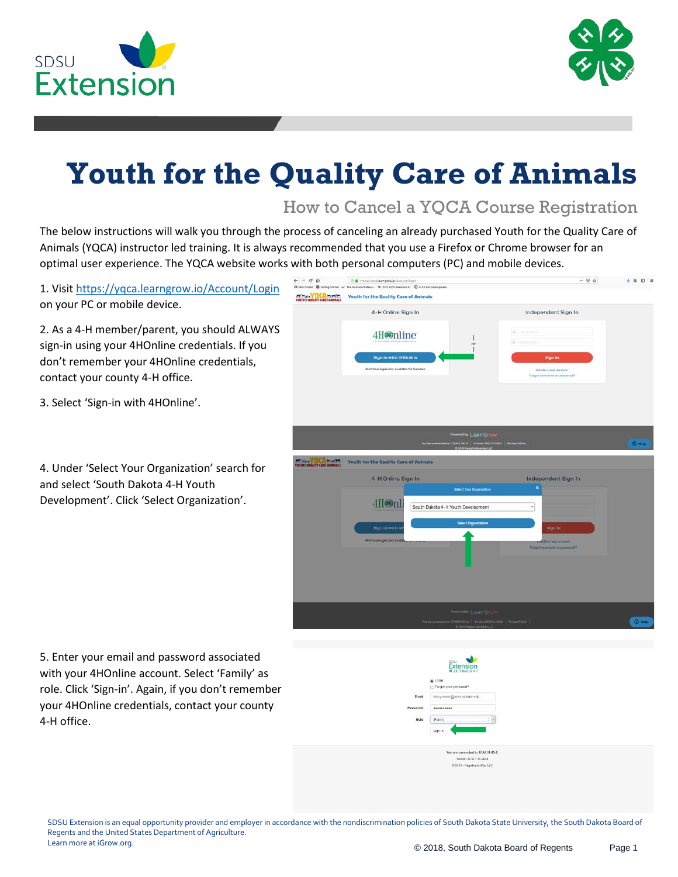



## **Youth for the Quality Care of Animals**

How to Cancel a YQCA Course Registration

The below instructions will walk you through the process of canceling an already purchased Youth for the Quality Care of Animals (YQCA) instructor led training. It is always recommended that you use a Firefox or Chrome browser for an optimal user experience. The YQCA website works with both personal computers (PC) and mobile devices.

| 1. Visit https://yqca.learngrow.io/Account/Login<br>on your PC or mobile device.<br>2. As a 4-H member/parent, you should ALWAYS<br>sign-in using your 4HOnline credentials. If you<br>don't remember your 4HOnline credentials,<br>contact your county 4-H office.<br>3. Select 'Sign-in with 4HOnline'. | $\leftarrow$ $\rightarrow$ $C$ $\odot$<br>-- - +<br>00 C Https://vocaleamgrowia/Account/Login<br>C Mex Venus<br>The Journal of Extens. - 3013 SOSUE#ension-4. @ 4-H Club Developmen.<br>Getting Stories<br>YOUTH & OUNLITY CARE RANPALL<br>Youth for the Quality Care of Animals<br>4-H Online Sign In<br>Independent Sign In<br>A USS/runni<br>4H <sup>o</sup> mline<br><b>B. I'Msswons</b><br>or<br>Sign in with 4H0nline<br><b>Sign In</b><br>4HOnline login only available for Families<br>Create a new account<br>Forgot username or password? | + 第四 三        |
|-----------------------------------------------------------------------------------------------------------------------------------------------------------------------------------------------------------------------------------------------------------------------------------------------------------|-----------------------------------------------------------------------------------------------------------------------------------------------------------------------------------------------------------------------------------------------------------------------------------------------------------------------------------------------------------------------------------------------------------------------------------------------------------------------------------------------------------------------------------------------------|---------------|
| 4. Under 'Select Your Organization' search for<br>and select 'South Dakota 4-H Youth<br>Development'. Click 'Select Organization'.                                                                                                                                                                        | <b>Powered by LearnGrow</b><br>ested to TLXAS1 (IS A   Version 291Y.2.13602   Privacy Pelley<br><b>PERSONAL PROPERTY</b><br>Youth for the Quality Care of Animals<br>4-H Online Sign In<br>Independent Sign In<br>Salect Your Organization<br>4H@n<br>South Dakota 4-H Youth Development<br><b>Select Organization</b><br>Sign in with 4<br>Sign In<br>di-i0nime login only avail<br>abe a rang arrestin<br>Forgot usemans or password?<br><b>Rowared by LearnGrow</b>                                                                              | <b>D</b> Help |

5. Enter your email and password associated with your 4HOnline account. Select 'Family' as role. Click 'Sign-in'. Again, if you don't remember your 4HOnline credentials, contact your county 4-H office.

|          | <b>Extension</b><br><b>8 SOUTH DAKOTA 4-H</b> |
|----------|-----------------------------------------------|
|          | Login                                         |
|          | Forgot your password?                         |
| Email    | hilary.risner@jacks.sdstate.edu               |
| Password |                                               |
| Role     | :Family<br><b>ALCOHOL:</b>                    |
|          | Sign in                                       |

ersion 2018.1.14.20 @ 2019 - RegistrationMax LLC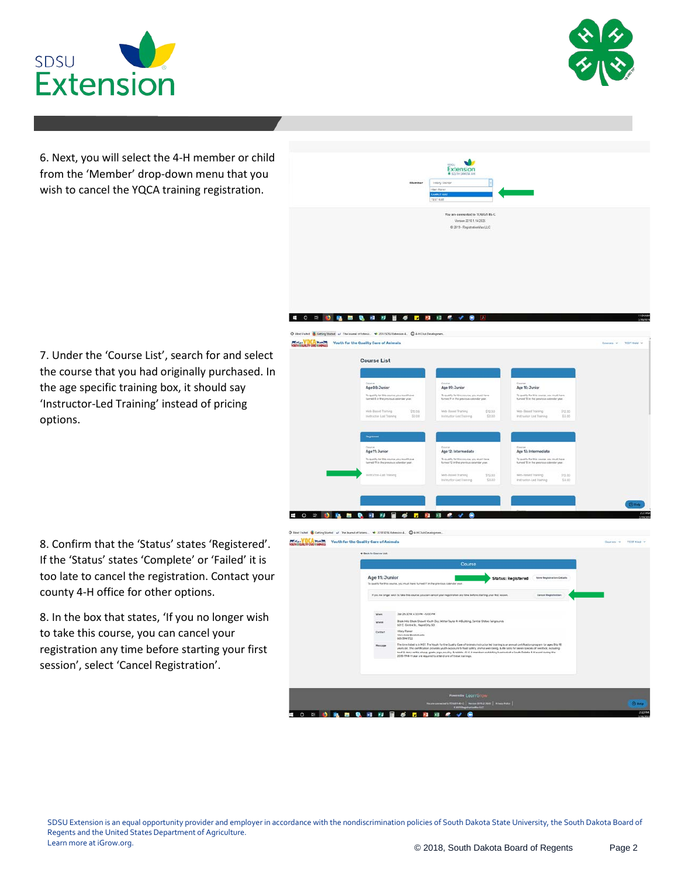



6. Next, you will select the 4-H member or child from the 'Member' drop-down menu that you wish to cancel the YQCA training registration.



7. Under the 'Course List', search for and select the course that you had originally purchased. In the age specific training box, it should say 'Instructor-Led Training' instead of pricing options.

8. Confirm that the 'Status' states 'Registered'. If the 'Status' states 'Complete' or 'Failed' it is too late to cancel the registration. Contact your county 4-H office for other options.

8. In the box that states, 'If you no longer wish to take this course, you can cancel your registration any time before starting your first session', select 'Cancel Registration'.



Control<br>Ago 12: Intermediato

To qualify for this equitie, you must have

55.00

Age 13: Inf Sy qualify for this course, you

Cities<br>Age 11: Junior

To qualify for this